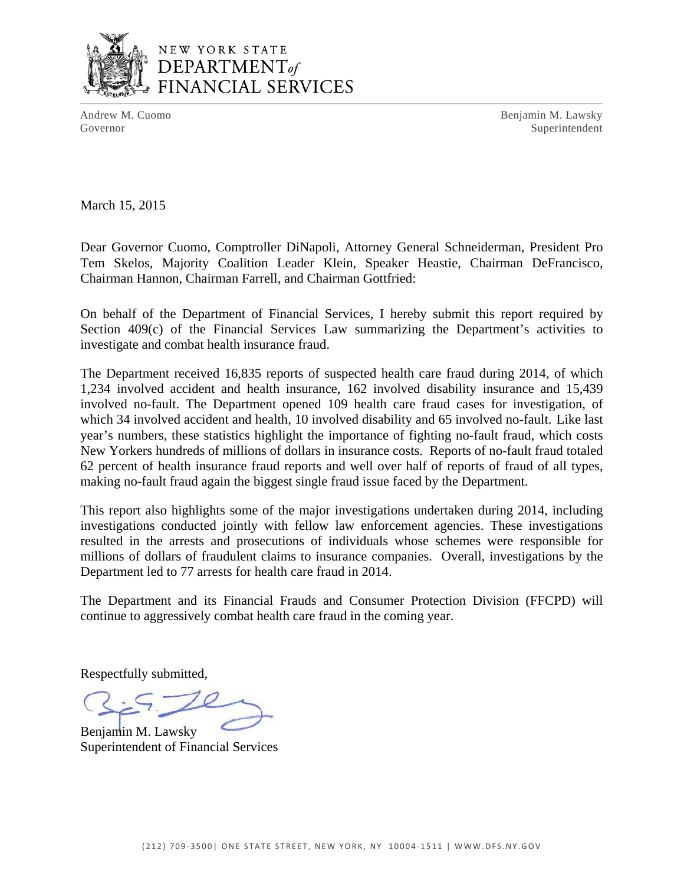

Andrew M. Cuomo **Benjamin M. Lawsky** Governor Superintendent Superintendent Superintendent Superintendent Superintendent Superintendent Superintendent Superintendent Superintendent Superintendent Superintendent Superintendent Superintendent Superintendent Sup

March 15, 2015

Dear Governor Cuomo, Comptroller DiNapoli, Attorney General Schneiderman, President Pro Tem Skelos, Majority Coalition Leader Klein, Speaker Heastie, Chairman DeFrancisco, Chairman Hannon, Chairman Farrell, and Chairman Gottfried:

On behalf of the Department of Financial Services, I hereby submit this report required by Section 409(c) of the Financial Services Law summarizing the Department's activities to investigate and combat health insurance fraud.

 which 34 involved accident and health, 10 involved disability and 65 involved no-fault. Like last The Department received 16,835 reports of suspected health care fraud during 2014, of which 1,234 involved accident and health insurance, 162 involved disability insurance and 15,439 involved no-fault. The Department opened 109 health care fraud cases for investigation, of year's numbers, these statistics highlight the importance of fighting no-fault fraud, which costs New Yorkers hundreds of millions of dollars in insurance costs. Reports of no-fault fraud totaled 62 percent of health insurance fraud reports and well over half of reports of fraud of all types, making no-fault fraud again the biggest single fraud issue faced by the Department.

This report also highlights some of the major investigations undertaken during 2014, including investigations conducted jointly with fellow law enforcement agencies. These investigations resulted in the arrests and prosecutions of individuals whose schemes were responsible for millions of dollars of fraudulent claims to insurance companies. Overall, investigations by the Department led to 77 arrests for health care fraud in 2014.

The Department and its Financial Frauds and Consumer Protection Division (FFCPD) will continue to aggressively combat health care fraud in the coming year.

Respectfully submitted,

Benjamin M. Lawsky Superintendent of Financial Services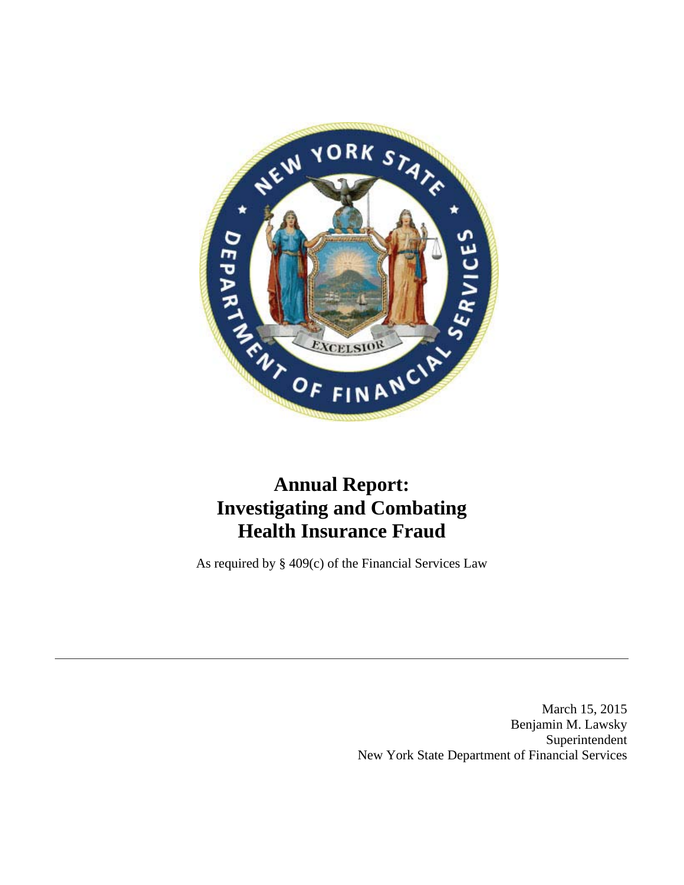

# **Annual Report: Investigating and Combating Health Insurance Fraud**

As required by § 409(c) of the Financial Services Law

March 15, 2015 Benjamin M. Lawsky Superintendent New York State Department of Financial Services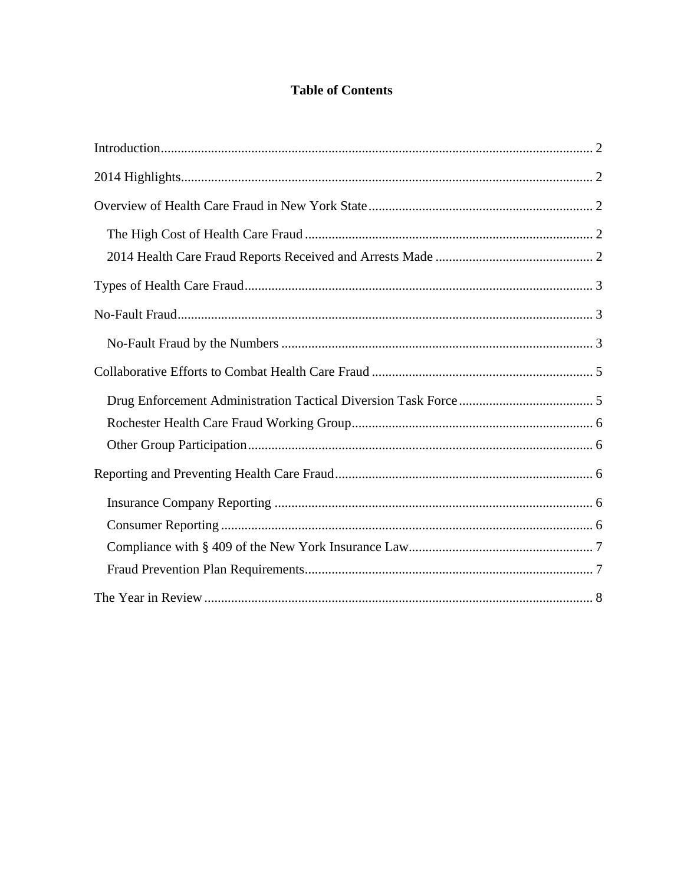# **Table of Contents**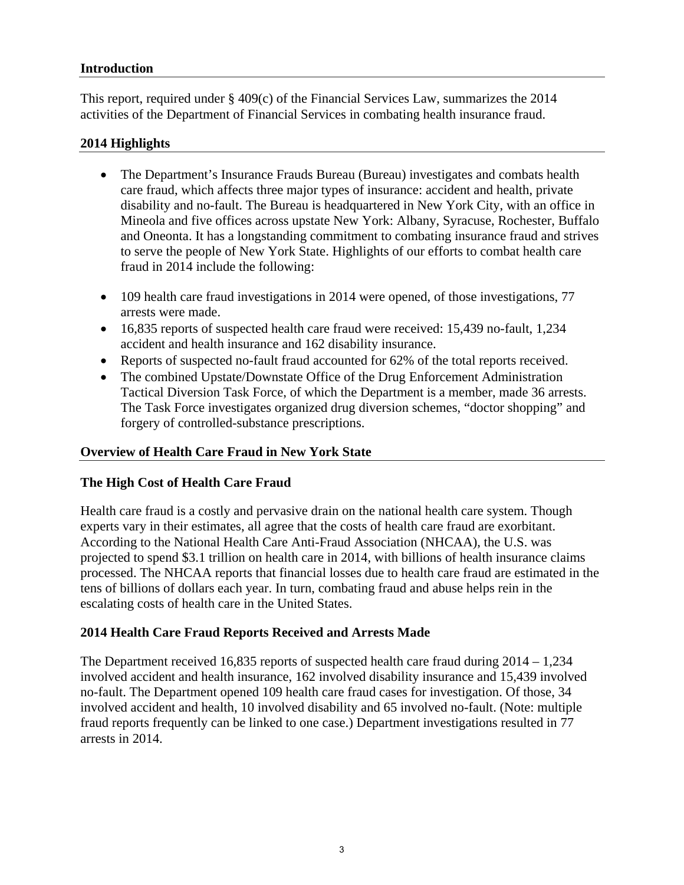#### **Introduction**

This report, required under § 409(c) of the Financial Services Law, summarizes the 2014 activities of the Department of Financial Services in combating health insurance fraud.

#### **2014 Highlights**

- The Department's Insurance Frauds Bureau (Bureau) investigates and combats health care fraud, which affects three major types of insurance: accident and health, private disability and no-fault. The Bureau is headquartered in New York City, with an office in Mineola and five offices across upstate New York: Albany, Syracuse, Rochester, Buffalo and Oneonta. It has a longstanding commitment to combating insurance fraud and strives to serve the people of New York State. Highlights of our efforts to combat health care fraud in 2014 include the following:
- 109 health care fraud investigations in 2014 were opened, of those investigations, 77 arrests were made.
- 16,835 reports of suspected health care fraud were received: 15,439 no-fault, 1,234 accident and health insurance and 162 disability insurance.
- Reports of suspected no-fault fraud accounted for 62% of the total reports received.
- The combined Upstate/Downstate Office of the Drug Enforcement Administration Tactical Diversion Task Force, of which the Department is a member, made 36 arrests. The Task Force investigates organized drug diversion schemes, "doctor shopping" and forgery of controlled-substance prescriptions.

## **Overview of Health Care Fraud in New York State**

#### **The High Cost of Health Care Fraud**

Health care fraud is a costly and pervasive drain on the national health care system. Though experts vary in their estimates, all agree that the costs of health care fraud are exorbitant. According to the National Health Care Anti-Fraud Association (NHCAA), the U.S. was projected to spend \$3.1 trillion on health care in 2014, with billions of health insurance claims processed. The NHCAA reports that financial losses due to health care fraud are estimated in the tens of billions of dollars each year. In turn, combating fraud and abuse helps rein in the escalating costs of health care in the United States.

#### **2014 Health Care Fraud Reports Received and Arrests Made**

The Department received 16,835 reports of suspected health care fraud during  $2014 - 1,234$ involved accident and health insurance, 162 involved disability insurance and 15,439 involved no-fault. The Department opened 109 health care fraud cases for investigation. Of those, 34 involved accident and health, 10 involved disability and 65 involved no-fault. (Note: multiple fraud reports frequently can be linked to one case.) Department investigations resulted in 77 arrests in 2014.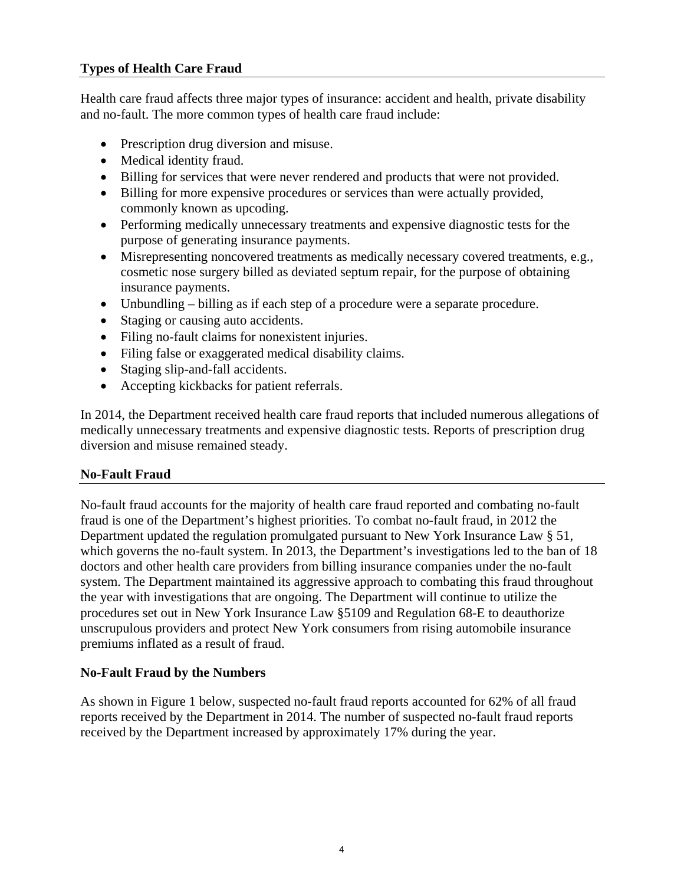# **Types of Health Care Fraud**

Health care fraud affects three major types of insurance: accident and health, private disability and no-fault. The more common types of health care fraud include:

- Prescription drug diversion and misuse.
- Medical identity fraud.
- Billing for services that were never rendered and products that were not provided.
- Billing for more expensive procedures or services than were actually provided, commonly known as upcoding.
- Performing medically unnecessary treatments and expensive diagnostic tests for the purpose of generating insurance payments.
- Misrepresenting noncovered treatments as medically necessary covered treatments, e.g., cosmetic nose surgery billed as deviated septum repair, for the purpose of obtaining insurance payments.
- Unbundling billing as if each step of a procedure were a separate procedure.
- Staging or causing auto accidents.
- Filing no-fault claims for nonexistent injuries.
- Filing false or exaggerated medical disability claims.
- Staging slip-and-fall accidents.
- Accepting kickbacks for patient referrals.

In 2014, the Department received health care fraud reports that included numerous allegations of medically unnecessary treatments and expensive diagnostic tests. Reports of prescription drug diversion and misuse remained steady.

## **No-Fault Fraud**

No-fault fraud accounts for the majority of health care fraud reported and combating no-fault fraud is one of the Department's highest priorities. To combat no-fault fraud, in 2012 the Department updated the regulation promulgated pursuant to New York Insurance Law § 51, which governs the no-fault system. In 2013, the Department's investigations led to the ban of 18 doctors and other health care providers from billing insurance companies under the no-fault system. The Department maintained its aggressive approach to combating this fraud throughout the year with investigations that are ongoing. The Department will continue to utilize the procedures set out in New York Insurance Law §5109 and Regulation 68-E to deauthorize unscrupulous providers and protect New York consumers from rising automobile insurance premiums inflated as a result of fraud.

## **No-Fault Fraud by the Numbers**

As shown in Figure 1 below, suspected no-fault fraud reports accounted for 62% of all fraud reports received by the Department in 2014. The number of suspected no-fault fraud reports received by the Department increased by approximately 17% during the year.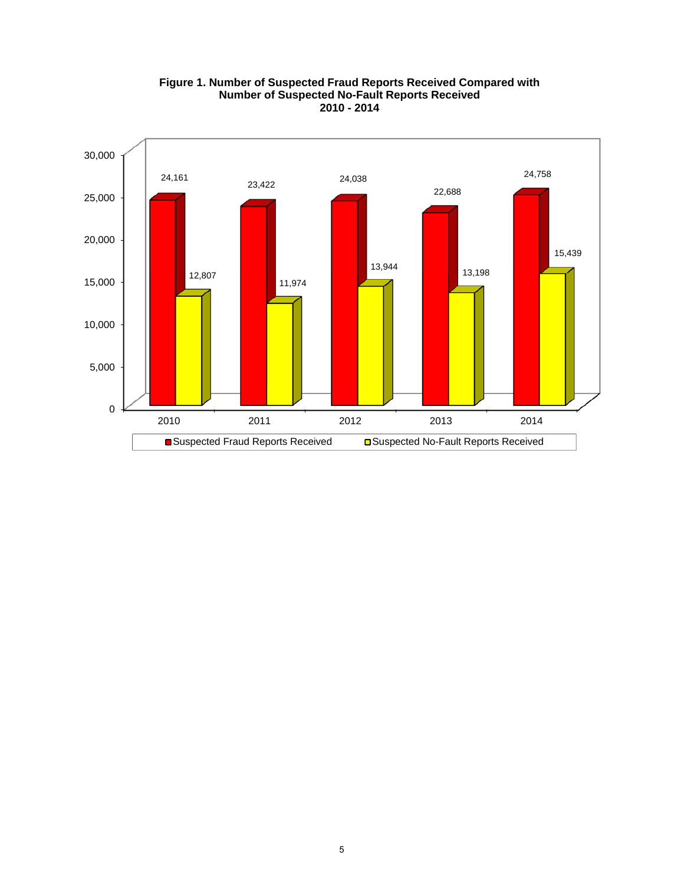

#### **Figure 1. Number of Suspected Fraud Reports Received Compared with Number of Suspected No-Fault Reports Received 2010 - 2014**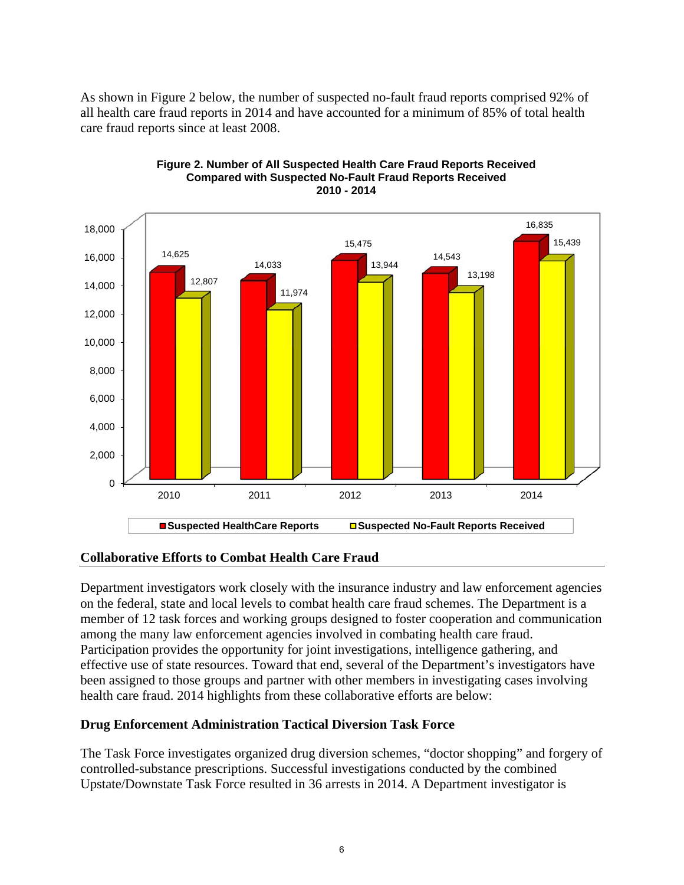As shown in Figure 2 below, the number of suspected no-fault fraud reports comprised 92% of all health care fraud reports in 2014 and have accounted for a minimum of 85% of total health care fraud reports since at least 2008.



#### **Figure 2. Number of All Suspected Health Care Fraud Reports Received Compared with Suspected No-Fault Fraud Reports Received 2010 - 2014**

## **Collaborative Efforts to Combat Health Care Fraud**

Department investigators work closely with the insurance industry and law enforcement agencies on the federal, state and local levels to combat health care fraud schemes. The Department is a member of 12 task forces and working groups designed to foster cooperation and communication among the many law enforcement agencies involved in combating health care fraud. Participation provides the opportunity for joint investigations, intelligence gathering, and effective use of state resources. Toward that end, several of the Department's investigators have been assigned to those groups and partner with other members in investigating cases involving health care fraud. 2014 highlights from these collaborative efforts are below:

## **Drug Enforcement Administration Tactical Diversion Task Force**

The Task Force investigates organized drug diversion schemes, "doctor shopping" and forgery of controlled-substance prescriptions. Successful investigations conducted by the combined Upstate/Downstate Task Force resulted in 36 arrests in 2014. A Department investigator is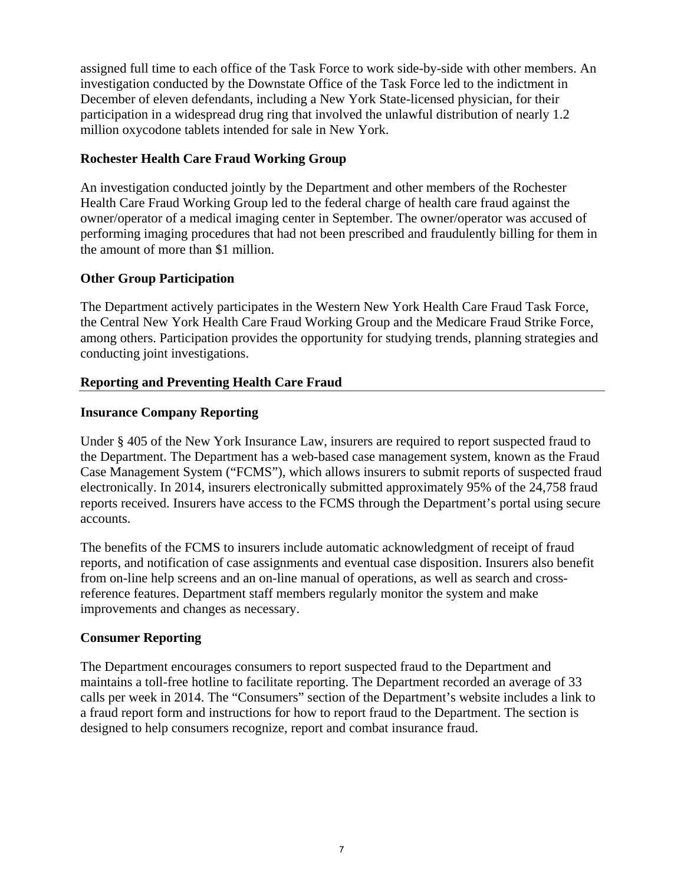assigned full time to each office of the Task Force to work side-by-side with other members. An investigation conducted by the Downstate Office of the Task Force led to the indictment in December of eleven defendants, including a New York State-licensed physician, for their participation in a widespread drug ring that involved the unlawful distribution of nearly 1.2 million oxycodone tablets intended for sale in New York.

## **Rochester Health Care Fraud Working Group**

An investigation conducted jointly by the Department and other members of the Rochester Health Care Fraud Working Group led to the federal charge of health care fraud against the owner/operator of a medical imaging center in September. The owner/operator was accused of performing imaging procedures that had not been prescribed and fraudulently billing for them in the amount of more than \$1 million.

## **Other Group Participation**

The Department actively participates in the Western New York Health Care Fraud Task Force, the Central New York Health Care Fraud Working Group and the Medicare Fraud Strike Force, among others. Participation provides the opportunity for studying trends, planning strategies and conducting joint investigations.

# **Reporting and Preventing Health Care Fraud**

## **Insurance Company Reporting**

Under § 405 of the New York Insurance Law, insurers are required to report suspected fraud to the Department. The Department has a web-based case management system, known as the Fraud Case Management System ("FCMS"), which allows insurers to submit reports of suspected fraud electronically. In 2014, insurers electronically submitted approximately 95% of the 24,758 fraud reports received. Insurers have access to the FCMS through the Department's portal using secure accounts.

The benefits of the FCMS to insurers include automatic acknowledgment of receipt of fraud reports, and notification of case assignments and eventual case disposition. Insurers also benefit from on-line help screens and an on-line manual of operations, as well as search and crossreference features. Department staff members regularly monitor the system and make improvements and changes as necessary.

## **Consumer Reporting**

The Department encourages consumers to report suspected fraud to the Department and maintains a toll-free hotline to facilitate reporting. The Department recorded an average of 33 calls per week in 2014. The "Consumers" section of the Department's website includes a link to a fraud report form and instructions for how to report fraud to the Department. The section is designed to help consumers recognize, report and combat insurance fraud.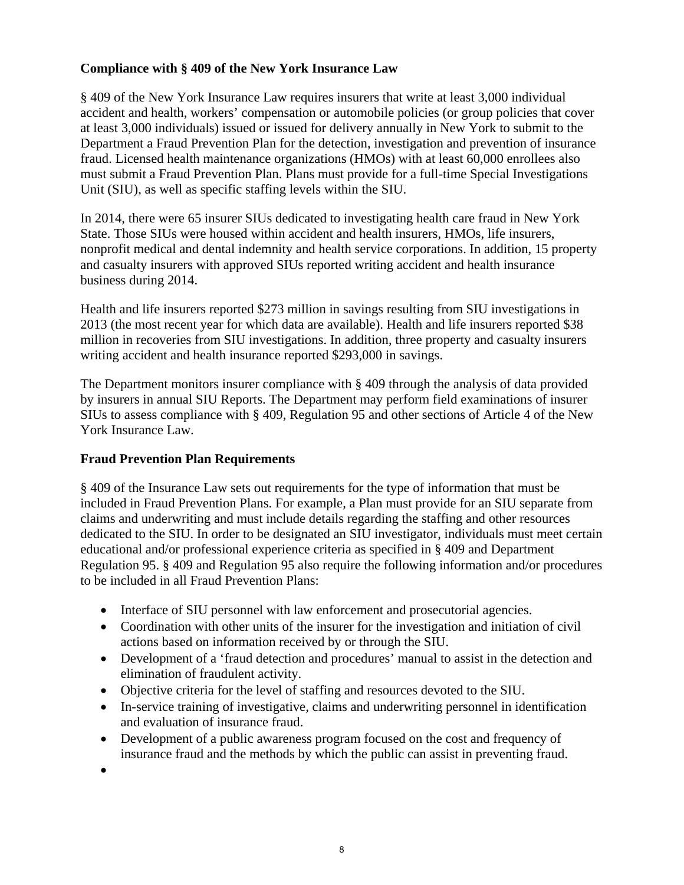# **Compliance with § 409 of the New York Insurance Law**

§ 409 of the New York Insurance Law requires insurers that write at least 3,000 individual accident and health, workers' compensation or automobile policies (or group policies that cover at least 3,000 individuals) issued or issued for delivery annually in New York to submit to the Department a Fraud Prevention Plan for the detection, investigation and prevention of insurance fraud. Licensed health maintenance organizations (HMOs) with at least 60,000 enrollees also must submit a Fraud Prevention Plan. Plans must provide for a full-time Special Investigations Unit (SIU), as well as specific staffing levels within the SIU.

In 2014, there were 65 insurer SIUs dedicated to investigating health care fraud in New York State. Those SIUs were housed within accident and health insurers, HMOs, life insurers, nonprofit medical and dental indemnity and health service corporations. In addition, 15 property and casualty insurers with approved SIUs reported writing accident and health insurance business during 2014.

Health and life insurers reported \$273 million in savings resulting from SIU investigations in 2013 (the most recent year for which data are available). Health and life insurers reported \$38 million in recoveries from SIU investigations. In addition, three property and casualty insurers writing accident and health insurance reported \$293,000 in savings.

The Department monitors insurer compliance with § 409 through the analysis of data provided by insurers in annual SIU Reports. The Department may perform field examinations of insurer SIUs to assess compliance with § 409, Regulation 95 and other sections of Article 4 of the New York Insurance Law.

## **Fraud Prevention Plan Requirements**

§ 409 of the Insurance Law sets out requirements for the type of information that must be included in Fraud Prevention Plans. For example, a Plan must provide for an SIU separate from claims and underwriting and must include details regarding the staffing and other resources dedicated to the SIU. In order to be designated an SIU investigator, individuals must meet certain educational and/or professional experience criteria as specified in § 409 and Department Regulation 95. § 409 and Regulation 95 also require the following information and/or procedures to be included in all Fraud Prevention Plans:

- Interface of SIU personnel with law enforcement and prosecutorial agencies.
- Coordination with other units of the insurer for the investigation and initiation of civil actions based on information received by or through the SIU.
- Development of a 'fraud detection and procedures' manual to assist in the detection and elimination of fraudulent activity.
- Objective criteria for the level of staffing and resources devoted to the SIU.
- In-service training of investigative, claims and underwriting personnel in identification and evaluation of insurance fraud.
- Development of a public awareness program focused on the cost and frequency of insurance fraud and the methods by which the public can assist in preventing fraud.
- $\bullet$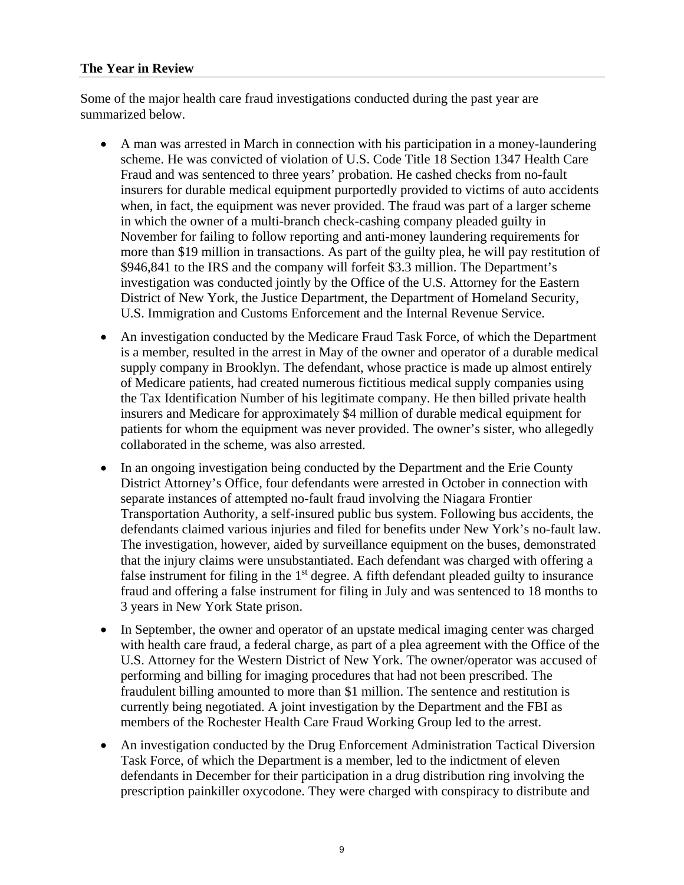#### **The Year in Review**

Some of the major health care fraud investigations conducted during the past year are summarized below.

- A man was arrested in March in connection with his participation in a money-laundering scheme. He was convicted of violation of U.S. Code Title 18 Section 1347 Health Care Fraud and was sentenced to three years' probation. He cashed checks from no-fault insurers for durable medical equipment purportedly provided to victims of auto accidents when, in fact, the equipment was never provided. The fraud was part of a larger scheme in which the owner of a multi-branch check-cashing company pleaded guilty in November for failing to follow reporting and anti-money laundering requirements for more than \$19 million in transactions. As part of the guilty plea, he will pay restitution of \$946,841 to the IRS and the company will forfeit \$3.3 million. The Department's investigation was conducted jointly by the Office of the U.S. Attorney for the Eastern District of New York, the Justice Department, the Department of Homeland Security, U.S. Immigration and Customs Enforcement and the Internal Revenue Service.
- An investigation conducted by the Medicare Fraud Task Force, of which the Department is a member, resulted in the arrest in May of the owner and operator of a durable medical supply company in Brooklyn. The defendant, whose practice is made up almost entirely of Medicare patients, had created numerous fictitious medical supply companies using the Tax Identification Number of his legitimate company. He then billed private health insurers and Medicare for approximately \$4 million of durable medical equipment for patients for whom the equipment was never provided. The owner's sister, who allegedly collaborated in the scheme, was also arrested.
- In an ongoing investigation being conducted by the Department and the Erie County District Attorney's Office, four defendants were arrested in October in connection with separate instances of attempted no-fault fraud involving the Niagara Frontier Transportation Authority, a self-insured public bus system. Following bus accidents, the defendants claimed various injuries and filed for benefits under New York's no-fault law. The investigation, however, aided by surveillance equipment on the buses, demonstrated that the injury claims were unsubstantiated. Each defendant was charged with offering a false instrument for filing in the  $1<sup>st</sup>$  degree. A fifth defendant pleaded guilty to insurance fraud and offering a false instrument for filing in July and was sentenced to 18 months to 3 years in New York State prison.
- In September, the owner and operator of an upstate medical imaging center was charged with health care fraud, a federal charge, as part of a plea agreement with the Office of the U.S. Attorney for the Western District of New York. The owner/operator was accused of performing and billing for imaging procedures that had not been prescribed. The fraudulent billing amounted to more than \$1 million. The sentence and restitution is currently being negotiated. A joint investigation by the Department and the FBI as members of the Rochester Health Care Fraud Working Group led to the arrest.
- An investigation conducted by the Drug Enforcement Administration Tactical Diversion Task Force, of which the Department is a member, led to the indictment of eleven defendants in December for their participation in a drug distribution ring involving the prescription painkiller oxycodone. They were charged with conspiracy to distribute and